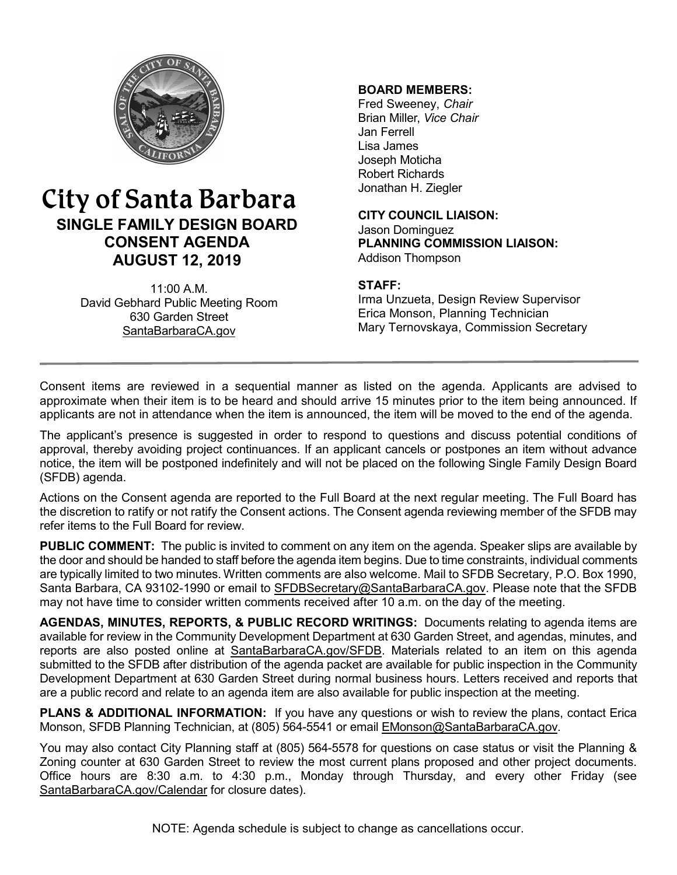

# City of Santa Barbara **SINGLE FAMILY DESIGN BOARD CONSENT AGENDA AUGUST 12, 2019**

11:00 A.M. David Gebhard Public Meeting Room 630 Garden Street [SantaBarbaraCA.gov](http://www.santabarbaraca.gov/)

#### **BOARD MEMBERS:**

Fred Sweeney, *Chair* Brian Miller, *Vice Chair* Jan Ferrell Lisa James Joseph Moticha Robert Richards Jonathan H. Ziegler

**CITY COUNCIL LIAISON:** Jason Dominguez **PLANNING COMMISSION LIAISON:** Addison Thompson

### **STAFF:**

Irma Unzueta, Design Review Supervisor Erica Monson, Planning Technician Mary Ternovskaya, Commission Secretary

Consent items are reviewed in a sequential manner as listed on the agenda. Applicants are advised to approximate when their item is to be heard and should arrive 15 minutes prior to the item being announced. If applicants are not in attendance when the item is announced, the item will be moved to the end of the agenda.

The applicant's presence is suggested in order to respond to questions and discuss potential conditions of approval, thereby avoiding project continuances. If an applicant cancels or postpones an item without advance notice, the item will be postponed indefinitely and will not be placed on the following Single Family Design Board (SFDB) agenda.

Actions on the Consent agenda are reported to the Full Board at the next regular meeting. The Full Board has the discretion to ratify or not ratify the Consent actions. The Consent agenda reviewing member of the SFDB may refer items to the Full Board for review.

**PUBLIC COMMENT:** The public is invited to comment on any item on the agenda. Speaker slips are available by the door and should be handed to staff before the agenda item begins. Due to time constraints, individual comments are typically limited to two minutes. Written comments are also welcome. Mail to SFDB Secretary, P.O. Box 1990, Santa Barbara, CA 93102-1990 or email to [SFDBSecretary@SantaBarbaraCA.gov](mailto:SFDBSecretary@SantaBarbaraCA.gov). Please note that the SFDB may not have time to consider written comments received after 10 a.m. on the day of the meeting.

**AGENDAS, MINUTES, REPORTS, & PUBLIC RECORD WRITINGS:** Documents relating to agenda items are available for review in the Community Development Department at 630 Garden Street, and agendas, minutes, and reports are also posted online at [SantaBarbaraCA.gov/SFDB](http://www.santabarbaraca.gov/gov/brdcomm/nz/sfdb/agendas.asp). Materials related to an item on this agenda submitted to the SFDB after distribution of the agenda packet are available for public inspection in the Community Development Department at 630 Garden Street during normal business hours. Letters received and reports that are a public record and relate to an agenda item are also available for public inspection at the meeting.

**PLANS & ADDITIONAL INFORMATION:** If you have any questions or wish to review the plans, contact Erica Monson, SFDB Planning Technician, at (805) 564-5541 or email [EMonson@SantaBarbaraCA.gov](mailto:EMonson@SantaBarbaraCA.gov).

You may also contact City Planning staff at (805) 564-5578 for questions on case status or visit the Planning & Zoning counter at 630 Garden Street to review the most current plans proposed and other project documents. Office hours are 8:30 a.m. to 4:30 p.m., Monday through Thursday, and every other Friday (see [SantaBarbaraCA.gov/Calendar](http://www.santabarbaraca.gov/cals/default.asp) for closure dates).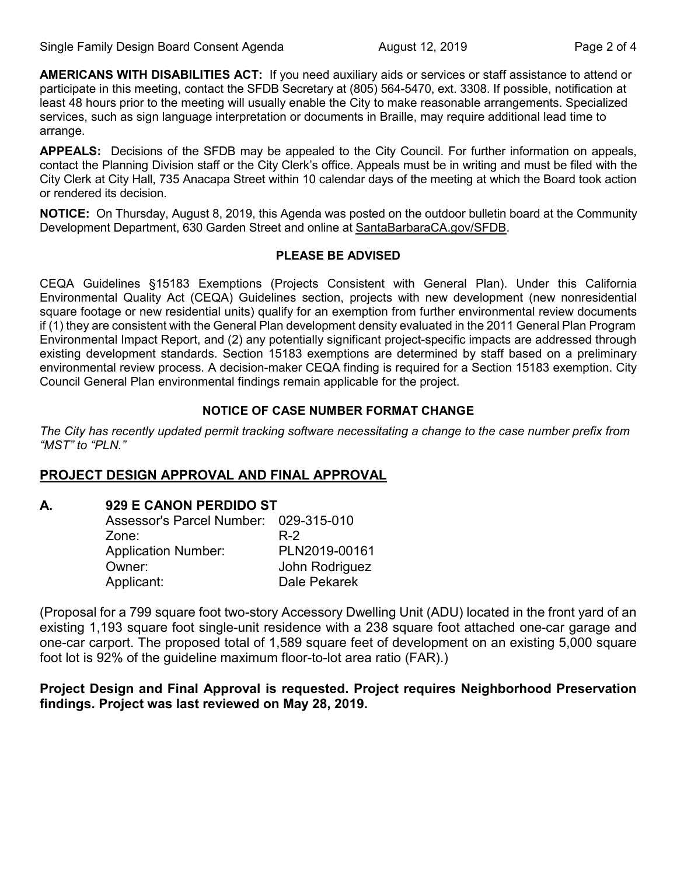**AMERICANS WITH DISABILITIES ACT:** If you need auxiliary aids or services or staff assistance to attend or participate in this meeting, contact the SFDB Secretary at (805) 564-5470, ext. 3308. If possible, notification at least 48 hours prior to the meeting will usually enable the City to make reasonable arrangements. Specialized services, such as sign language interpretation or documents in Braille, may require additional lead time to arrange.

**APPEALS:** Decisions of the SFDB may be appealed to the City Council. For further information on appeals, contact the Planning Division staff or the City Clerk's office. Appeals must be in writing and must be filed with the City Clerk at City Hall, 735 Anacapa Street within 10 calendar days of the meeting at which the Board took action or rendered its decision.

**NOTICE:** On Thursday, August 8, 2019, this Agenda was posted on the outdoor bulletin board at the Community Development Department, 630 Garden Street and online at [SantaBarbaraCA.gov/SFDB](http://www.santabarbaraca.gov/gov/brdcomm/nz/sfdb/agendas.asp).

#### **PLEASE BE ADVISED**

CEQA Guidelines §15183 Exemptions (Projects Consistent with General Plan). Under this California Environmental Quality Act (CEQA) Guidelines section, projects with new development (new nonresidential square footage or new residential units) qualify for an exemption from further environmental review documents if (1) they are consistent with the General Plan development density evaluated in the 2011 General Plan Program Environmental Impact Report, and (2) any potentially significant project-specific impacts are addressed through existing development standards. Section 15183 exemptions are determined by staff based on a preliminary environmental review process. A decision-maker CEQA finding is required for a Section 15183 exemption. City Council General Plan environmental findings remain applicable for the project.

### **NOTICE OF CASE NUMBER FORMAT CHANGE**

*The City has recently updated permit tracking software necessitating a change to the case number prefix from "MST" to "PLN."*

# **PROJECT DESIGN APPROVAL AND FINAL APPROVAL**

**A. 929 E CANON PERDIDO ST**

| Assessor's Parcel Number: 029-315-010 |                |
|---------------------------------------|----------------|
| Zone:                                 | R-2            |
| <b>Application Number:</b>            | PLN2019-00161  |
| Owner:                                | John Rodriguez |
| Applicant:                            | Dale Pekarek   |

(Proposal for a 799 square foot two-story Accessory Dwelling Unit (ADU) located in the front yard of an existing 1,193 square foot single-unit residence with a 238 square foot attached one-car garage and one-car carport. The proposed total of 1,589 square feet of development on an existing 5,000 square foot lot is 92% of the guideline maximum floor-to-lot area ratio (FAR).)

# **Project Design and Final Approval is requested. Project requires Neighborhood Preservation findings. Project was last reviewed on May 28, 2019.**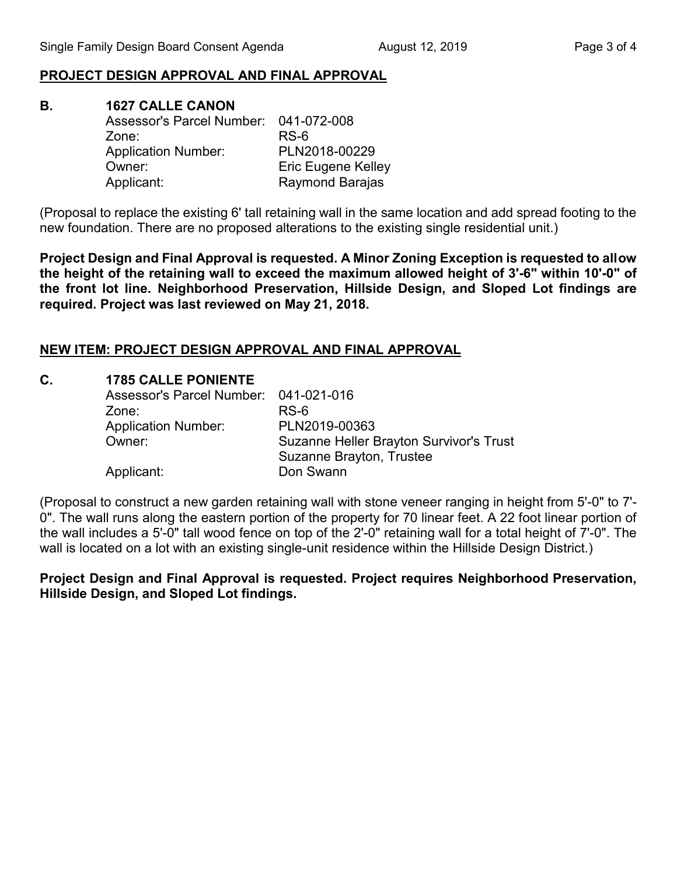## **PROJECT DESIGN APPROVAL AND FINAL APPROVAL**

**B. 1627 CALLE CANON**  Assessor's Parcel Number: 041-072-008 Zone: RS-6 Application Number: PLN2018-00229 Owner: Eric Eugene Kelley Applicant: Raymond Barajas

(Proposal to replace the existing 6' tall retaining wall in the same location and add spread footing to the new foundation. There are no proposed alterations to the existing single residential unit.)

**Project Design and Final Approval is requested. A Minor Zoning Exception is requested to allow the height of the retaining wall to exceed the maximum allowed height of 3'-6" within 10'-0" of the front lot line. Neighborhood Preservation, Hillside Design, and Sloped Lot findings are required. Project was last reviewed on May 21, 2018.**

### **NEW ITEM: PROJECT DESIGN APPROVAL AND FINAL APPROVAL**

| C. | <b>1785 CALLE PONIENTE</b>            |                                                |
|----|---------------------------------------|------------------------------------------------|
|    | Assessor's Parcel Number: 041-021-016 |                                                |
|    | Zone:                                 | RS-6                                           |
|    | <b>Application Number:</b>            | PLN2019-00363                                  |
|    | Owner:                                | <b>Suzanne Heller Brayton Survivor's Trust</b> |
|    |                                       | Suzanne Brayton, Trustee                       |
|    | Applicant:                            | Don Swann                                      |

(Proposal to construct a new garden retaining wall with stone veneer ranging in height from 5'-0" to 7'- 0". The wall runs along the eastern portion of the property for 70 linear feet. A 22 foot linear portion of the wall includes a 5'-0" tall wood fence on top of the 2'-0" retaining wall for a total height of 7'-0". The wall is located on a lot with an existing single-unit residence within the Hillside Design District.)

**Project Design and Final Approval is requested. Project requires Neighborhood Preservation, Hillside Design, and Sloped Lot findings.**